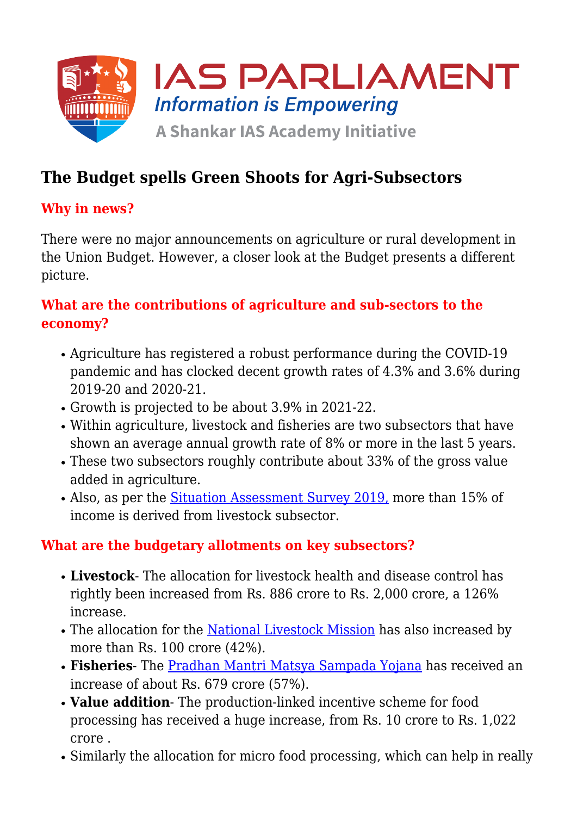

# **The Budget spells Green Shoots for Agri-Subsectors**

#### **Why in news?**

There were no major announcements on agriculture or rural development in the Union Budget. However, a closer look at the Budget presents a different picture.

#### **What are the contributions of agriculture and sub-sectors to the economy?**

- Agriculture has registered a robust performance during the COVID-19 pandemic and has clocked decent growth rates of 4.3% and 3.6% during 2019-20 and 2020-21.
- Growth is projected to be about 3.9% in 2021-22.
- Within agriculture, livestock and fisheries are two subsectors that have shown an average annual growth rate of 8% or more in the last 5 years.
- These two subsectors roughly contribute about 33% of the gross value added in agriculture.
- Also, as per the [Situation Assessment Survey 2019,](https://www.iasparliament.com/current-affairs/the-state-of-agriculture-in-india) more than 15% of income is derived from livestock subsector.

#### **What are the budgetary allotments on key subsectors?**

- **Livestock** The allocation for livestock health and disease control has rightly been increased from Rs. 886 crore to Rs. 2,000 crore, a 126% increase.
- The allocation for the [National Livestock Mission](https://www.iasparliament.com/current-affairs/improving-livestock-breeding#:~:text=National%20Livestock%20Mission%20(NLM)%20%2D,liability%20groups%2CSHGs%2C%20etc.) has also increased by more than Rs. 100 crore (42%).
- **Fisheries** The [Pradhan Mantri Matsya Sampada Yojana](https://www.iasparliament.com/current-affairs/upsc-daily-current-affairs-prelim-bits-21-05-2020) has received an increase of about Rs. 679 crore (57%).
- **Value addition** The production-linked incentive scheme for food processing has received a huge increase, from Rs. 10 crore to Rs. 1,022 crore .
- Similarly the allocation for micro food processing, which can help in really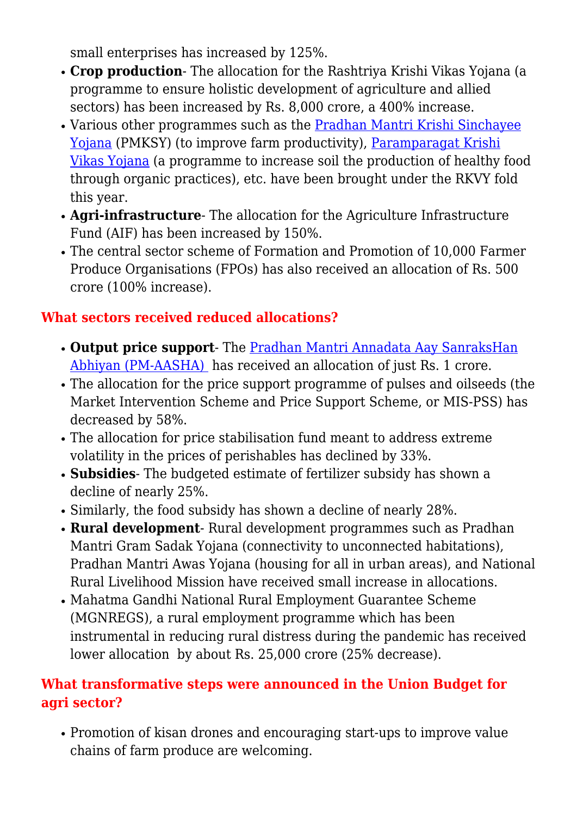small enterprises has increased by 125%.

- **Crop production** The allocation for the Rashtriya Krishi Vikas Yojana (a programme to ensure holistic development of agriculture and allied sectors) has been increased by Rs. 8,000 crore, a 400% increase.
- Various other programmes such as the [Pradhan Mantri Krishi Sinchayee](https://www.iasparliament.com/current-affairs/prelim-bits-04-11-2017) [Yojana](https://www.iasparliament.com/current-affairs/prelim-bits-04-11-2017) (PMKSY) (to improve farm productivity), [Paramparagat Krishi](https://www.iasparliament.com/uploads/downloads/Government_Schemes_I_www.iasparliament.com.pdf) [Vikas Yojana](https://www.iasparliament.com/uploads/downloads/Government_Schemes_I_www.iasparliament.com.pdf) (a programme to increase soil the production of healthy food through organic practices), etc. have been brought under the RKVY fold this year.
- **Agri-infrastructure** The allocation for the Agriculture Infrastructure Fund (AIF) has been increased by 150%.
- The central sector scheme of Formation and Promotion of 10,000 Farmer Produce Organisations (FPOs) has also received an allocation of Rs. 500 crore (100% increase).

## **What sectors received reduced allocations?**

- **Output price support** The [Pradhan Mantri Annadata Aay SanraksHan](https://www.iasparliament.com/current-affairs/pradhan-mantri-annadata-aay-sanrakshan-abhiyan-pm-aasha) [Abhiyan \(PM-AASHA\)](https://www.iasparliament.com/current-affairs/pradhan-mantri-annadata-aay-sanrakshan-abhiyan-pm-aasha) has received an allocation of just Rs. 1 crore.
- The allocation for the price support programme of pulses and oilseeds (the Market Intervention Scheme and Price Support Scheme, or MIS-PSS) has decreased by 58%.
- The allocation for price stabilisation fund meant to address extreme volatility in the prices of perishables has declined by 33%.
- **Subsidies** The budgeted estimate of fertilizer subsidy has shown a decline of nearly 25%.
- Similarly, the food subsidy has shown a decline of nearly 28%.
- **Rural development** Rural development programmes such as Pradhan Mantri Gram Sadak Yojana (connectivity to unconnected habitations), Pradhan Mantri Awas Yojana (housing for all in urban areas), and National Rural Livelihood Mission have received small increase in allocations.
- Mahatma Gandhi National Rural Employment Guarantee Scheme (MGNREGS), a rural employment programme which has been instrumental in reducing rural distress during the pandemic has received lower allocation by about Rs. 25,000 crore (25% decrease).

### **What transformative steps were announced in the Union Budget for agri sector?**

Promotion of kisan drones and encouraging start-ups to improve value chains of farm produce are welcoming.